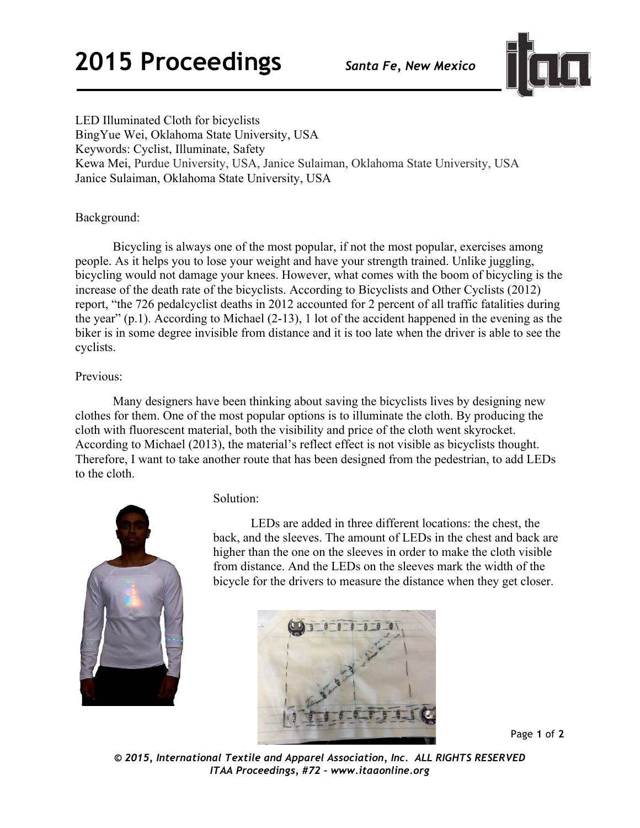

LED Illuminated Cloth for bicyclists BingYue Wei, Oklahoma State University, USA Keywords: Cyclist, Illuminate, Safety Kewa Mei, Purdue University, USA, Janice Sulaiman, Oklahoma State University, USA Janice Sulaiman, Oklahoma State University, USA

### Background:

Bicycling is always one of the most popular, if not the most popular, exercises among people. As it helps you to lose your weight and have your strength trained. Unlike juggling, bicycling would not damage your knees. However, what comes with the boom of bicycling is the increase of the death rate of the bicyclists. According to Bicyclists and Other Cyclists (2012) report, "the 726 pedalcyclist deaths in 2012 accounted for 2 percent of all traffic fatalities during the year" (p.1). According to Michael (2-13), 1 lot of the accident happened in the evening as the biker is in some degree invisible from distance and it is too late when the driver is able to see the cyclists.

#### Previous:

Many designers have been thinking about saving the bicyclists lives by designing new clothes for them. One of the most popular options is to illuminate the cloth. By producing the cloth with fluorescent material, both the visibility and price of the cloth went skyrocket. According to Michael (2013), the material's reflect effect is not visible as bicyclists thought. Therefore, I want to take another route that has been designed from the pedestrian, to add LEDs to the cloth.



#### Solution:

LEDs are added in three different locations: the chest, the back, and the sleeves. The amount of LEDs in the chest and back are higher than the one on the sleeves in order to make the cloth visible from distance. And the LEDs on the sleeves mark the width of the bicycle for the drivers to measure the distance when they get closer.



Page **1** of **2** 

*© 2015, International Textile and Apparel Association, Inc. ALL RIGHTS RESERVED ITAA Proceedings, #72 – www.itaaonline.org*